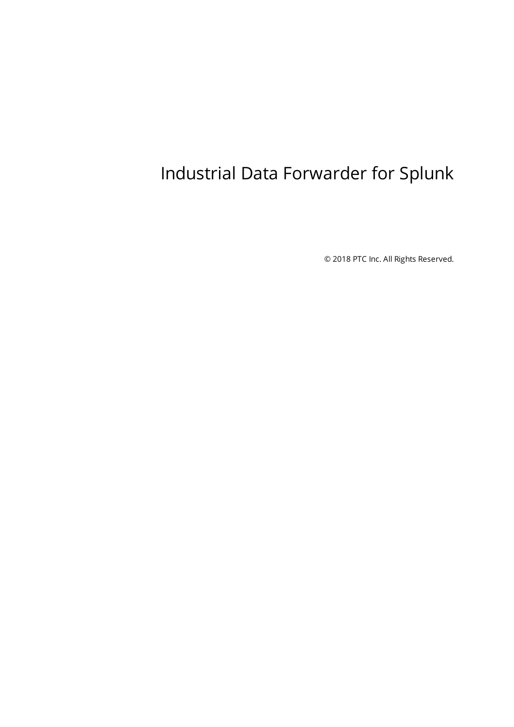# <span id="page-0-0"></span>Industrial Data Forwarder for Splunk

© 2018 PTC Inc. All Rights Reserved.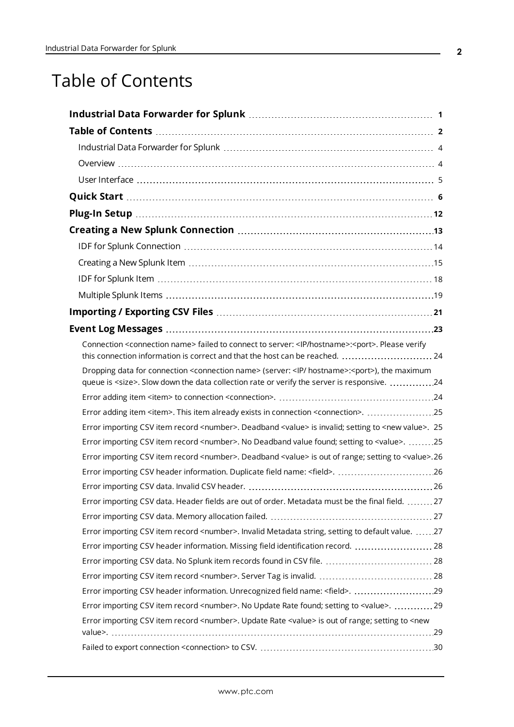# <span id="page-1-0"></span>Table of Contents

| Connection <connection name=""> failed to connect to server: <lp hostname="">:<port>. Please verify</port></lp></connection>   |
|--------------------------------------------------------------------------------------------------------------------------------|
| this connection information is correct and that the host can be reached.  24                                                   |
| Dropping data for connection <connection name=""> (server: <ip hostname="">:<port>), the maximum</port></ip></connection>      |
| queue is <size>. Slow down the data collection rate or verify the server is responsive. 24</size>                              |
|                                                                                                                                |
| Error adding item <item>. This item already exists in connection <connection>. 25</connection></item>                          |
| Error importing CSV item record <number>. Deadband <value> is invalid; setting to <new value="">. 25</new></value></number>    |
| Error importing CSV item record <number>. No Deadband value found; setting to <value>. 25</value></number>                     |
| Error importing CSV item record <number>. Deadband <value> is out of range; setting to <value>.26</value></value></number>     |
| Error importing CSV header information. Duplicate field name: <field>. 26</field>                                              |
|                                                                                                                                |
| Error importing CSV data. Header fields are out of order. Metadata must be the final field. 27                                 |
|                                                                                                                                |
| Error importing CSV item record <number>. Invalid Metadata string, setting to default value. 27</number>                       |
| Error importing CSV header information. Missing field identification record.  28                                               |
|                                                                                                                                |
|                                                                                                                                |
| Error importing CSV item record <number>. No Update Rate found; setting to <value>. 29</value></number>                        |
| Error importing CSV item record <number>. Update Rate <value> is out of range; setting to <new< td=""></new<></value></number> |
|                                                                                                                                |
|                                                                                                                                |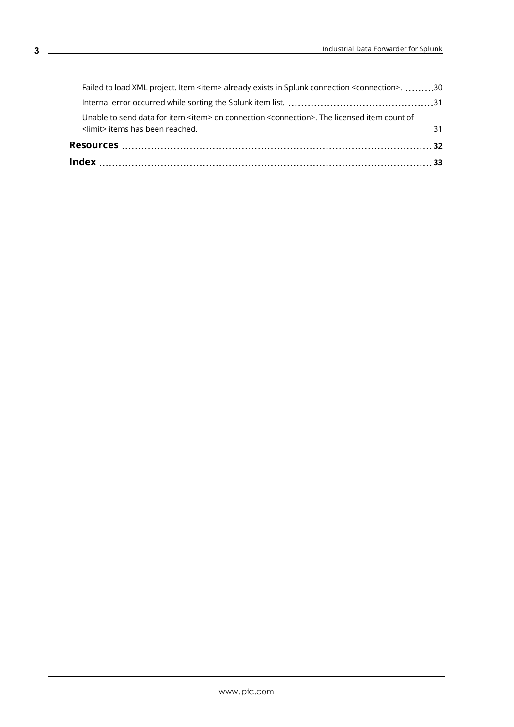| Unable to send data for item <item> on connection <connection>. The licensed item count of</connection></item>   |  |
|------------------------------------------------------------------------------------------------------------------|--|
|                                                                                                                  |  |
| Failed to load XML project. Item <item> already exists in Splunk connection <connection>. 30</connection></item> |  |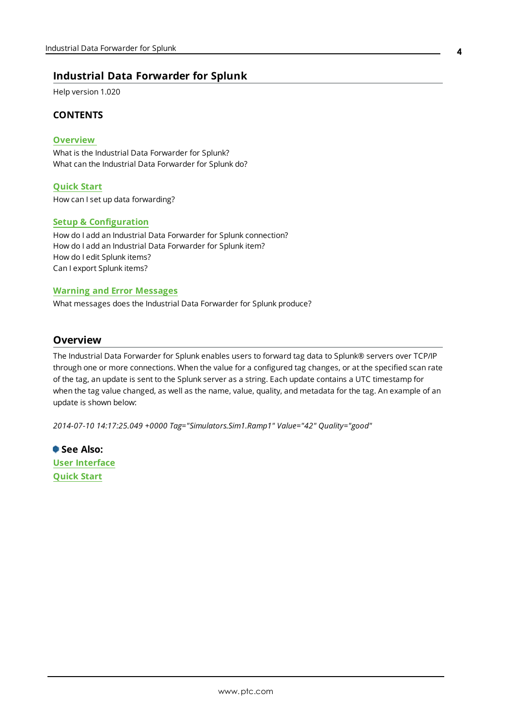## <span id="page-3-0"></span>**Industrial Data Forwarder for Splunk**

Help version 1.020

#### **CONTENTS**

#### **[Overview](#page-3-1)**

What is the Industrial Data Forwarder for Splunk? What can the Industrial Data Forwarder for Splunk do?

#### **[Quick](#page-5-0) Start**

How can I set up data forwarding?

#### **Setup [& Configuration](#page-11-0)**

How do I add an Industrial Data Forwarder for Splunk connection? How do I add an Industrial Data Forwarder for Splunk item? How do I edit Splunk items? Can I export Splunk items?

#### **Warning and Error [Messages](#page-22-0)**

What messages does the Industrial Data Forwarder for Splunk produce?

#### <span id="page-3-1"></span>**Overview**

The Industrial Data Forwarder for Splunk enables users to forward tag data to Splunk® servers over TCP/IP through one or more connections. When the value for a configured tag changes, or at the specified scan rate of the tag, an update is sent to the Splunk server as a string. Each update contains a UTC timestamp for when the tag value changed, as well as the name, value, quality, and metadata for the tag. An example of an update is shown below:

*2014-07-10 14:17:25.049 +0000 Tag="Simulators.Sim1.Ramp1" Value="42" Quality="good"*

**See Also: User [Interface](#page-4-0) [Quick](#page-5-0) Start**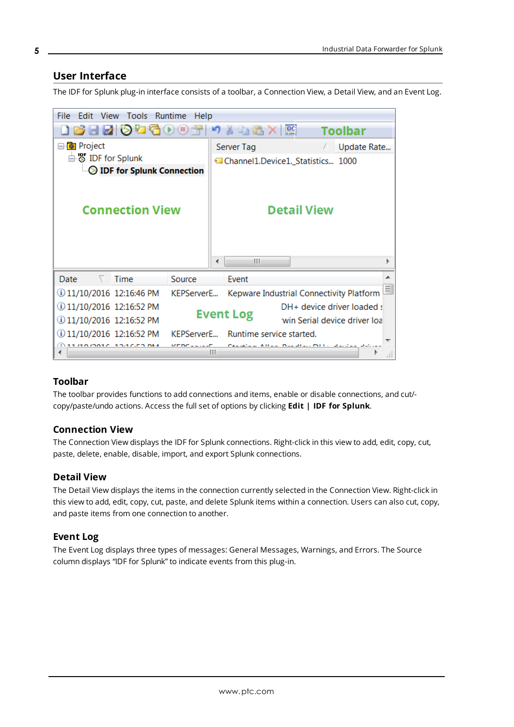#### <span id="page-4-0"></span>**User Interface**

The IDF for Splunk plug-in interface consists of a toolbar, a Connection View, a Detail View, and an Event Log.

| <b>File</b><br>Edit View Tools Runtime<br>Help            |            |  |                                          |                              |                |   |
|-----------------------------------------------------------|------------|--|------------------------------------------|------------------------------|----------------|---|
| <b>JRHRIDGGOOM</b>                                        |            |  | 3 电高入                                    | $rac{1}{2}$                  | <b>Toolbar</b> |   |
| ⊟ <b>D</b> Project                                        |            |  | Server Tag                               |                              | Update Rate    |   |
| □ S IDF for Splunk                                        |            |  | Channel1.Device1._Statistics 1000        |                              |                |   |
| <b>DE for Splunk Connection</b><br><b>Connection View</b> |            |  |                                          | <b>Detail View</b>           |                |   |
|                                                           |            |  | ш                                        |                              |                |   |
| <b>Date</b><br>Time<br>V.                                 | Source     |  | <b>Event</b>                             |                              |                |   |
| 11/10/2016 12:16:46 PM                                    | KEPServerE |  | Kepware Industrial Connectivity Platform |                              |                | ≣ |
| 11/10/2016 12:16:52 PM                                    |            |  |                                          | DH+ device driver loaded :   |                |   |
| 11/10/2016 12:16:52 PM                                    |            |  | <b>Event Log</b>                         | win Serial device driver loa |                |   |
| 11/10/2016 12:16:52 PM                                    | KEPServerE |  | Runtime service started.                 |                              |                |   |
|                                                           |            |  |                                          |                              |                |   |

#### <span id="page-4-5"></span>**Toolbar**

The toolbar provides functions to add connections and items, enable or disable connections, and cut/ copy/paste/undo actions. Access the full set of options by clicking **Edit | IDF for Splunk**.

#### <span id="page-4-1"></span>**Connection View**

The Connection View displays the IDF for Splunk connections. Right-click in this view to add, edit, copy, cut, paste, delete, enable, disable, import, and export Splunk connections.

#### <span id="page-4-2"></span>**Detail View**

The Detail View displays the items in the connection currently selected in the Connection View. Right-click in this view to add, edit, copy, cut, paste, and delete Splunk items within a connection. Users can also cut, copy, and paste items from one connection to another.

#### <span id="page-4-4"></span><span id="page-4-3"></span>**Event Log**

The Event Log displays three types of messages: General Messages, Warnings, and Errors. The Source column displays "IDF for Splunk" to indicate events from this plug-in.

**5**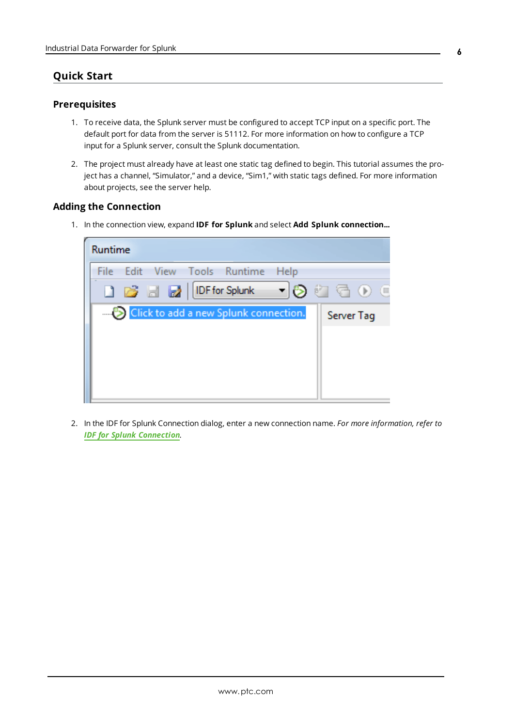## <span id="page-5-2"></span><span id="page-5-0"></span>**Quick Start**

#### **Prerequisites**

- 1. To receive data, the Splunk server must be configured to accept TCP input on a specific port. The default port for data from the server is 51112. For more information on how to configure a TCP input for a Splunk server, consult the Splunk documentation.
- 2. The project must already have at least one static tag defined to begin. This tutorial assumes the project has a channel, "Simulator," and a device, "Sim1," with static tags defined. For more information about projects, see the server help.

#### <span id="page-5-1"></span>**Adding the Connection**

1. In the connection view, expand **IDF for Splunk** and select **Add Splunk connection...**

| Runtime           |  |                                                   |      |            |  |
|-------------------|--|---------------------------------------------------|------|------------|--|
| File <sup>®</sup> |  | Edit View Tools Runtime                           | Help |            |  |
|                   |  | <b>] 13 日 2</b>   IDF for Splunk   ▼   ② ① (う ① 0 |      |            |  |
|                   |  | Click to add a new Splunk connection.             |      | Server Tag |  |
|                   |  |                                                   |      |            |  |
|                   |  |                                                   |      |            |  |
|                   |  |                                                   |      |            |  |
|                   |  |                                                   |      |            |  |

2. In the IDF for Splunk Connection dialog, enter a new connection name. *For more information, refer to IDF for Splunk [Connection](#page-13-0).*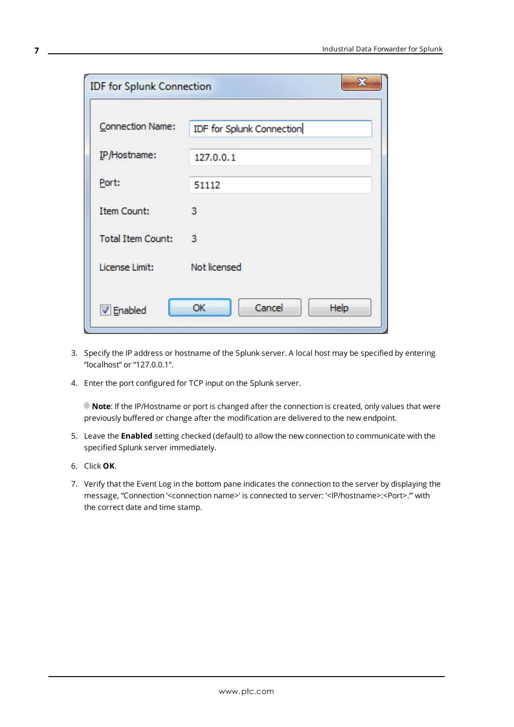| <b>IDF</b> for Splunk Connection |                           |
|----------------------------------|---------------------------|
| <b>Connection Name:</b>          | IDF for Splunk Connection |
| IP/Hostname:                     | 127.0.0.1                 |
| Port:                            | 51112                     |
| <b>Item Count:</b>               | з                         |
| <b>Total Item Count:</b>         | з                         |
|                                  | Not licensed              |
| License Limit:                   |                           |
| V Enabled                        | Cancel<br>OK<br>Help      |

- 3. Specify the IP address or hostname of the Splunk server. A local host may be specified by entering "localhost" or "127.0.0.1".
- 4. Enter the port configured for TCP input on the Splunk server.

**Note**: If the IP/Hostname or port is changed after the connection is created, only values that were previously buffered or change after the modification are delivered to the new endpoint.

- 5. Leave the **Enabled** setting checked (default) to allow the new connection to communicate with the specified Splunk server immediately.
- 6. Click **OK**.
- 7. Verify that the Event Log in the bottom pane indicates the connection to the server by displaying the message, "Connection '<connection name>' is connected to server: '<IP/hostname>:<Port>.'" with the correct date and time stamp.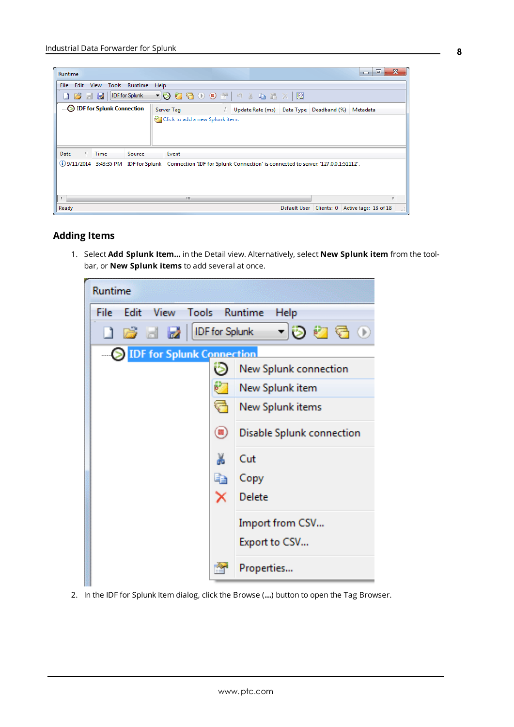| Runtime                                                                                                                                                                                                                                                                                                                                                                                                                                                                 |                                               |                                                    |              |            | $\mathbf x$<br>▣<br>$\Box$ |
|-------------------------------------------------------------------------------------------------------------------------------------------------------------------------------------------------------------------------------------------------------------------------------------------------------------------------------------------------------------------------------------------------------------------------------------------------------------------------|-----------------------------------------------|----------------------------------------------------|--------------|------------|----------------------------|
| View Tools Runtime<br><b>File</b><br>Edit                                                                                                                                                                                                                                                                                                                                                                                                                               | Help                                          |                                                    |              |            |                            |
| IDF for Splunk<br>$\begin{array}{c c c c c c} \multicolumn{2}{c }{\textbf{A}} & \multicolumn{2}{c }{\textbf{B}} & \multicolumn{2}{c }{\textbf{B}} \\ \multicolumn{2}{c }{\textbf{A}} & \multicolumn{2}{c }{\textbf{B}} & \multicolumn{2}{c }{\textbf{B}} & \multicolumn{2}{c }{\textbf{B}} \\ \multicolumn{2}{c }{\textbf{A}} & \multicolumn{2}{c }{\textbf{B}} & \multicolumn{2}{c }{\textbf{B}} & \multicolumn{2}{c }{\textbf{B}} \\ \multicolumn{2}{c }{\textbf{A}}$ | ▁ <u>▾)</u> ♡♡♂ Q ⊙ ⊙ @  ♡ ♪ Q © X   <u>@</u> |                                                    |              |            |                            |
| <b>DE</b> for Splunk Connection                                                                                                                                                                                                                                                                                                                                                                                                                                         | Server Tag                                    | / Update Rate (ms) Data Type Deadband (%) Metadata |              |            |                            |
|                                                                                                                                                                                                                                                                                                                                                                                                                                                                         | Click to add a new Splunk item.               |                                                    |              |            |                            |
| Date<br><b>Time</b><br>Source                                                                                                                                                                                                                                                                                                                                                                                                                                           | Event                                         |                                                    |              |            |                            |
| (i) 9/11/2014 3:43:35 PM IDF for Splunk Connection 'IDF for Splunk Connection' is connected to server: '127.0.0.1:51112'.                                                                                                                                                                                                                                                                                                                                               |                                               |                                                    |              |            |                            |
| $\overline{ }$                                                                                                                                                                                                                                                                                                                                                                                                                                                          | m.                                            |                                                    |              |            | ۰                          |
| Ready                                                                                                                                                                                                                                                                                                                                                                                                                                                                   |                                               |                                                    | Default User | Clients: 0 | Active tags: 18 of 18      |

#### <span id="page-7-0"></span>**Adding Items**

1. Select **Add Splunk Item…** in the Detail view. Alternatively, select **New Splunk item** from the toolbar, or **New Splunk items** to add several at once.



2. In the IDF for Splunk Item dialog, click the Browse (**…**) button to open the Tag Browser.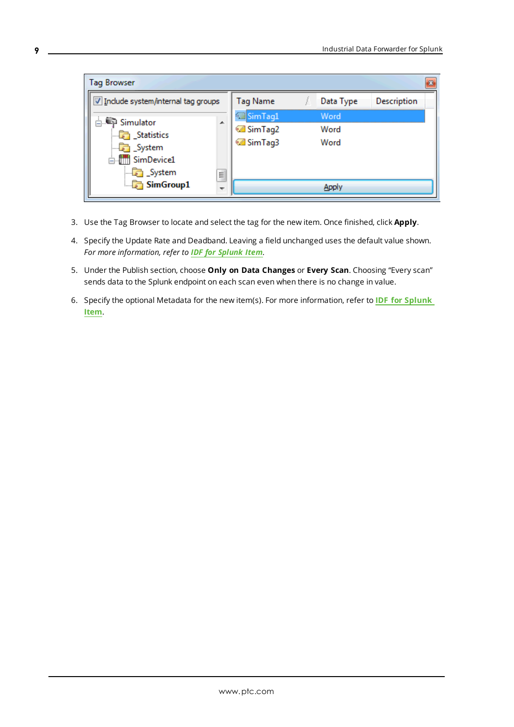| <b>Tag Browser</b>                 |                               |                  |           |             |
|------------------------------------|-------------------------------|------------------|-----------|-------------|
| Include system/internal tag groups |                               | Tag Name         | Data Type | Description |
| ⊟ Simulator                        |                               | SimTag1          | Word      |             |
| <b>Statistics</b>                  | 未                             | <b>Ø</b> SimTag2 | Word      |             |
| System                             |                               | <b>Ø</b> SimTag3 | Word      |             |
| in SimDevice1                      |                               |                  |           |             |
| <b>D</b> System                    | Ξ<br>$\overline{\phantom{a}}$ |                  |           |             |
| $\Box$ SimGroup1                   |                               |                  |           |             |

- 3. Use the Tag Browser to locate and select the tag for the new item. Once finished, click **Apply**.
- 4. Specify the Update Rate and Deadband. Leaving a field unchanged uses the default value shown. *For more information, refer to IDF for [Splunk](#page-17-0) Item.*
- 5. Under the Publish section, choose **Only on Data Changes** or **Every Scan**. Choosing "Every scan" sends data to the Splunk endpoint on each scan even when there is no change in value.
- 6. Specify the optional Metadata for the new item(s). For more information, refer to **IDF for [Splunk](#page-17-0) [Item](#page-17-0)**.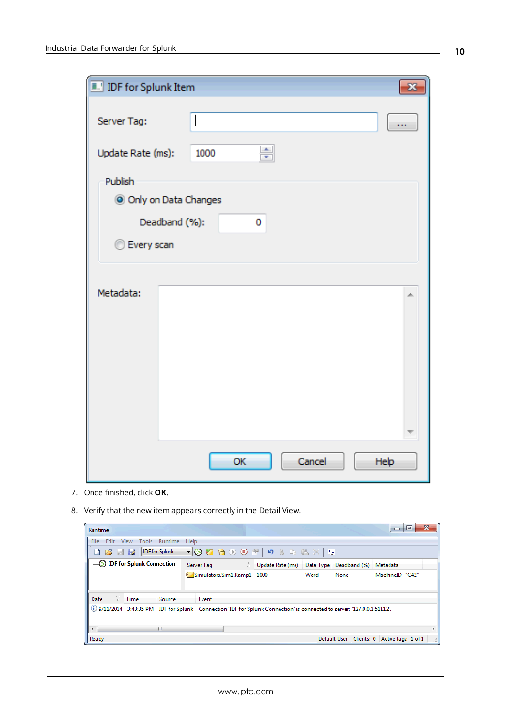| <b>IDF</b> for Splunk Item |                        |      |
|----------------------------|------------------------|------|
| Server Tag:                |                        | œ    |
| Update Rate (ms):          | ÷<br>1000              |      |
| Publish                    |                        |      |
|                            | O Only on Data Changes |      |
|                            | Deadband (%):<br>0     |      |
| <b>Every scan</b>          |                        |      |
|                            |                        |      |
| Metadata:                  |                        | zh.  |
|                            |                        |      |
|                            |                        |      |
|                            |                        |      |
|                            | Cancel<br>OK           | Help |

- 7. Once finished, click **OK**.
- 8. Verify that the new item appears correctly in the Detail View.

| Runtime                                                                                                                   |                            |                                         |                                                 | x<br>$\Box$ |
|---------------------------------------------------------------------------------------------------------------------------|----------------------------|-----------------------------------------|-------------------------------------------------|-------------|
| Runtime<br>Edit<br>View<br>Tools<br>File                                                                                  | Help                       |                                         |                                                 |             |
| IDF for Splunk                                                                                                            | $\bullet$<br>\bullet       |                                         |                                                 |             |
| <b>DE for Splunk Connection</b>                                                                                           | Server Tag                 | Update Rate (ms) Data Type Deadband (%) | Metadata                                        |             |
|                                                                                                                           | Simulators.Sim1.Ramp1 1000 | Word<br>None                            | MachineID="C42"                                 |             |
| Date<br><b>Time</b><br>Source                                                                                             | Event                      |                                         |                                                 |             |
| (i) 9/11/2014 3:43:35 PM IDF for Splunk Connection 'IDF for Splunk Connection' is connected to server: '127.0.0.1:51112'. |                            |                                         |                                                 |             |
| ш<br>$\overline{ }$                                                                                                       |                            |                                         |                                                 |             |
| Ready                                                                                                                     |                            |                                         | Default User   Clients: 0   Active tags: 1 of 1 |             |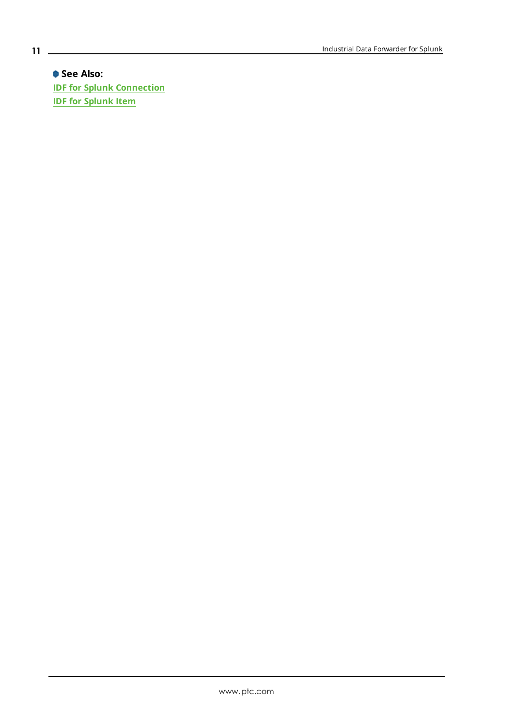**See Also: IDF for Splunk [Connection](#page-13-0) IDF for [Splunk](#page-17-0) Item**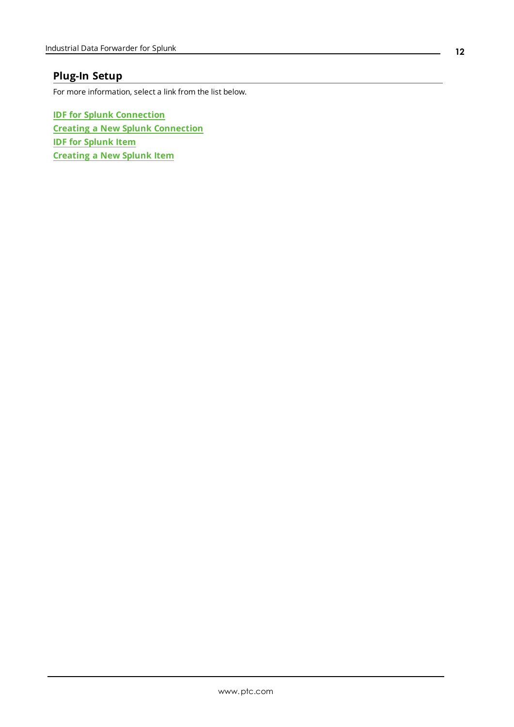## <span id="page-11-0"></span>**Plug-In Setup**

For more information, select a link from the list below.

**IDF for Splunk [Connection](#page-13-0) Creating a New Splunk [Connection](#page-12-0) IDF for [Splunk](#page-17-0) Item [Creating](#page-14-0) a New Splunk Item**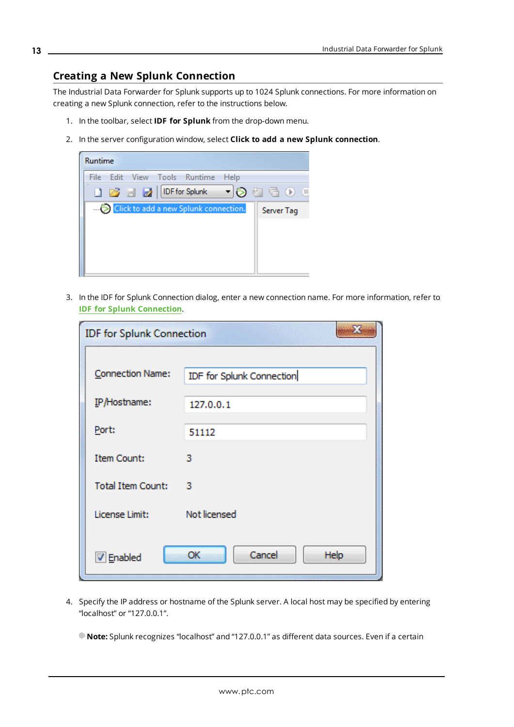## <span id="page-12-0"></span>**Creating a New Splunk Connection**

The Industrial Data Forwarder for Splunk supports up to 1024 Splunk connections. For more information on creating a new Splunk connection, refer to the instructions below.

- 1. In the toolbar, select **IDF for Splunk** from the drop-down menu.
- 2. In the server configuration window, select **Click to add a new Splunk connection**.



3. In the IDF for Splunk Connection dialog, enter a new connection name. For more information, refer to **IDF for Splunk [Connection](#page-13-0)**.

| <b>IDF</b> for Splunk Connection |                           |
|----------------------------------|---------------------------|
| Connection Name:                 | IDF for Splunk Connection |
| IP/Hostname:                     | 127.0.0.1                 |
| Port:                            | 51112                     |
| <b>Item Count:</b>               | з                         |
| <b>Total Item Count:</b>         | з                         |
| License Limit:                   | Not licensed              |
| V Enabled                        | Cancel<br>OK<br>Help      |

4. Specify the IP address or hostname of the Splunk server. A local host may be specified by entering "localhost" or "127.0.0.1".

**Note:** Splunk recognizes "localhost" and "127.0.0.1" as different data sources. Even if a certain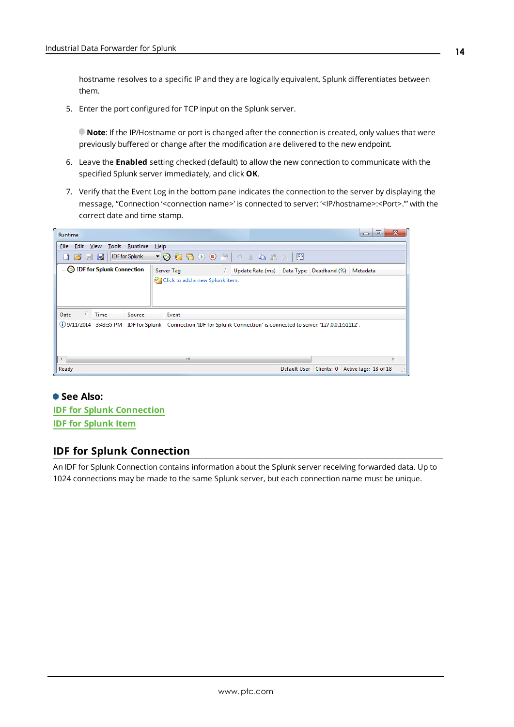<span id="page-13-1"></span>hostname resolves to a specific IP and they are logically equivalent, Splunk differentiates between them.

5. Enter the port configured for TCP input on the Splunk server.

**Note**: If the IP/Hostname or port is changed after the connection is created, only values that were previously buffered or change after the modification are delivered to the new endpoint.

- 6. Leave the **Enabled** setting checked (default) to allow the new connection to communicate with the specified Splunk server immediately, and click **OK**.
- 7. Verify that the Event Log in the bottom pane indicates the connection to the server by displaying the message, "Connection '<connection name>' is connected to server: '<IP/hostname>:<Port>.'" with the correct date and time stamp.

| Runtime                         | ▣<br>x<br>$\Box$                                                                                                          |
|---------------------------------|---------------------------------------------------------------------------------------------------------------------------|
| File Edit View Tools Runtime    | Help                                                                                                                      |
|                                 | D 28 日 22   DFfor Splunk → うむ看① ① 27   り ½ 电 63 ×   照                                                                     |
| <b>DE</b> for Splunk Connection | Server Tag<br>Update Rate (ms) Data Type Deadband (%) Metadata                                                            |
|                                 | Click to add a new Splunk item.                                                                                           |
|                                 |                                                                                                                           |
|                                 |                                                                                                                           |
| Date<br><b>Time</b><br>Source   | Event                                                                                                                     |
|                                 | (i) 9/11/2014 3:43:35 PM IDF for Splunk Connection 'IDF for Splunk Connection' is connected to server: '127.0.0.1:51112'. |
|                                 |                                                                                                                           |
|                                 |                                                                                                                           |
| ∢                               | m.                                                                                                                        |
| Ready                           | Clients: 0 Active tags: 18 of 18<br>Default User                                                                          |

### **See Also:**

**IDF for Splunk [Connection](#page-13-0) IDF for [Splunk](#page-17-0) Item**

#### <span id="page-13-0"></span>**IDF for Splunk Connection**

An IDF for Splunk Connection contains information about the Splunk server receiving forwarded data. Up to 1024 connections may be made to the same Splunk server, but each connection name must be unique.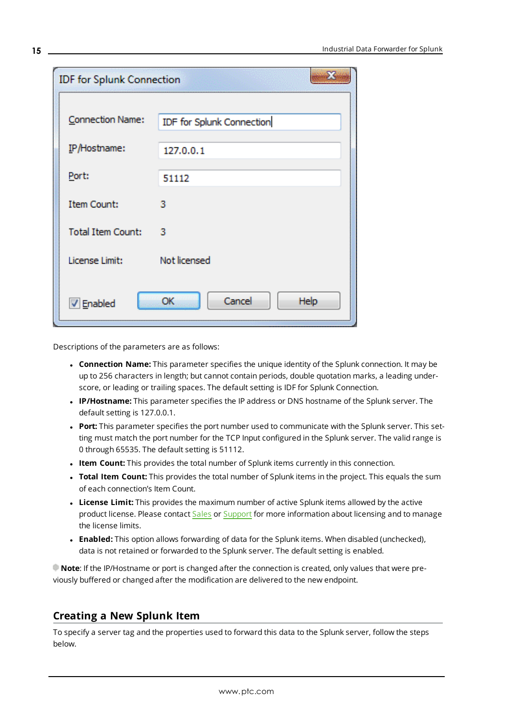| <b>IDF</b> for Splunk Connection |                           |
|----------------------------------|---------------------------|
| Connection Name:                 | IDF for Splunk Connection |
| IP/Hostname:                     | 127.0.0.1                 |
| Port:                            | 51112                     |
| <b>Item Count:</b>               | з                         |
| <b>Total Item Count:</b>         | з                         |
| License Limit:                   | Not licensed              |
| <b>V</b> Enabled                 | Cancel<br>OK<br>Help      |

Descriptions of the parameters are as follows:

- <span id="page-14-1"></span>**Connection Name:** This parameter specifies the unique identity of the Splunk connection. It may be up to 256 characters in length; but cannot contain periods, double quotation marks, a leading underscore, or leading or trailing spaces. The default setting is IDF for Splunk Connection.
- **.** IP/Hostname: This parameter specifies the IP address or DNS hostname of the Splunk server. The default setting is 127.0.0.1.
- <span id="page-14-5"></span><sup>l</sup> **Port:** This parameter specifies the port number used to communicate with the Splunk server. This setting must match the port number for the TCP Input configured in the Splunk server. The valid range is 0 through 65535. The default setting is 51112.
- <span id="page-14-6"></span><span id="page-14-3"></span>**.** Item Count: This provides the total number of Splunk items currently in this connection.
- **· Total Item Count:** This provides the total number of Splunk items in the project. This equals the sum of each connection's Item Count.
- <span id="page-14-4"></span>**License Limit:** This provides the maximum number of active Splunk items allowed by the active product license. Please contact [Sales](http://www.kepware.com/contact/sales.asp) or [Support](http://www.kepware.com/contact/technical-support.asp) for more information about licensing and to manage the license limits.
- <span id="page-14-2"></span><sup>l</sup> **Enabled:** This option allows forwarding of data for the Splunk items. When disabled (unchecked), data is not retained or forwarded to the Splunk server. The default setting is enabled.

**Note**: If the IP/Hostname or port is changed after the connection is created, only values that were previously buffered or changed after the modification are delivered to the new endpoint.

### <span id="page-14-0"></span>**Creating a New Splunk Item**

To specify a server tag and the properties used to forward this data to the Splunk server, follow the steps below.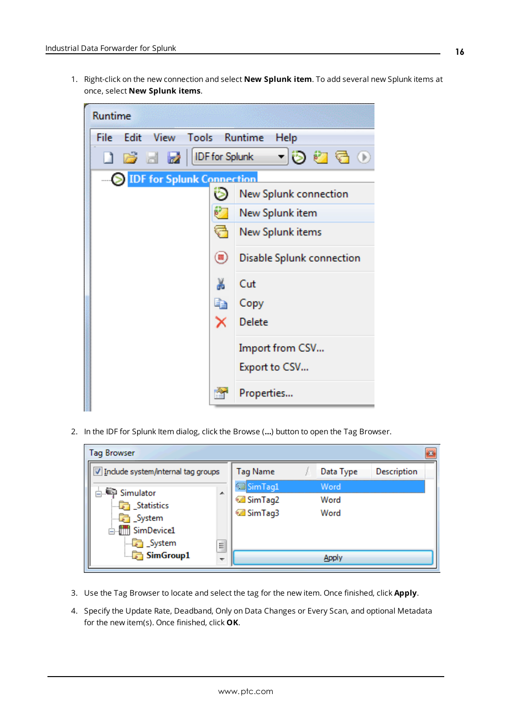<span id="page-15-1"></span>1. Right-click on the new connection and select **New Splunk item**. To add several new Splunk items at once, select **New Splunk items**.



<span id="page-15-2"></span>2. In the IDF for Splunk Item dialog, click the Browse (**…**) button to open the Tag Browser.

| <b>Tag Browser</b>                                                                             |                 |                                                     |                      |  |  |
|------------------------------------------------------------------------------------------------|-----------------|-----------------------------------------------------|----------------------|--|--|
| V Include system/internal tag groups                                                           | <b>Tag Name</b> | Data Type                                           | Description          |  |  |
| Simulator<br><b>Statistics</b><br>$\Box$ System<br><b>E-1111</b> SimDevice1<br><b>D</b> System | A.<br>Ė         | SimTag1<br><sup>2</sup> SimTag2<br><b>Ø</b> SimTag3 | Word<br>Word<br>Word |  |  |
| $\Box$ SimGroup1                                                                               |                 |                                                     |                      |  |  |

- <span id="page-15-0"></span>3. Use the Tag Browser to locate and select the tag for the new item. Once finished, click **Apply**.
- 4. Specify the Update Rate, Deadband, Only on Data Changes or Every Scan, and optional Metadata for the new item(s). Once finished, click **OK**.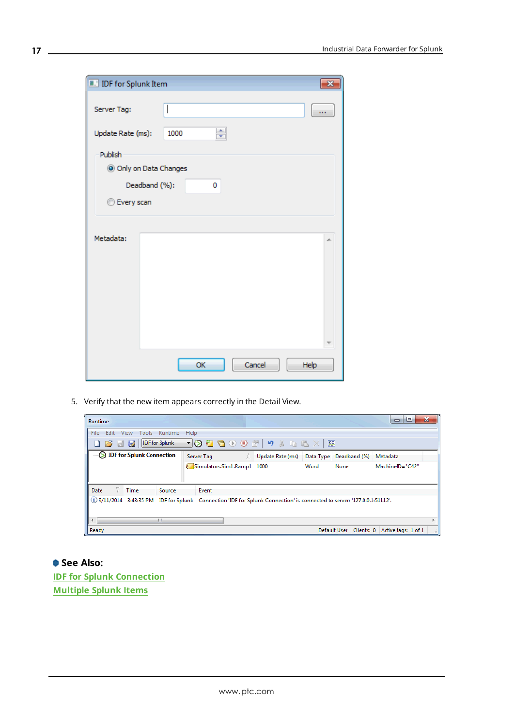| <b>De</b> IDF for Splunk Item |                      |    |
|-------------------------------|----------------------|----|
| Server Tag:                   |                      |    |
| Update Rate (ms):             | ÷<br>1000            |    |
| Publish                       |                      |    |
| O Only on Data Changes        |                      |    |
| Deadband (%):                 | 0                    |    |
| <b>Every scan</b>             |                      |    |
|                               |                      |    |
| Metadata:                     |                      | À. |
|                               |                      |    |
|                               |                      |    |
|                               |                      |    |
|                               |                      |    |
|                               |                      |    |
|                               |                      |    |
|                               |                      |    |
|                               | Cancel<br>OK<br>Help |    |

5. Verify that the new item appears correctly in the Detail View.

| <b>Runtime</b>           |             |                       |                            |                                                                                                                           |      |                            | ▣<br>$\Box$         | $\mathbf{x}$ |
|--------------------------|-------------|-----------------------|----------------------------|---------------------------------------------------------------------------------------------------------------------------|------|----------------------------|---------------------|--------------|
| Edit<br>File             | View        | Tools Runtime<br>Help |                            |                                                                                                                           |      |                            |                     |              |
| 16 E 2                   |             | IDF for Splunk        |                            | ▼   ⊙ 粒 看 ① ❶ 27   つ ♪ ね 過 ×   照                                                                                          |      |                            |                     |              |
| DE for Splunk Connection |             |                       | Server Tag                 | Update Rate (ms) Data Type Deadband (%)                                                                                   |      |                            | Metadata            |              |
|                          |             |                       | Simulators.Sim1.Ramp1 1000 |                                                                                                                           | Word | None                       | MachineID="C42"     |              |
| Date                     | <b>Time</b> | Source                | Event                      |                                                                                                                           |      |                            |                     |              |
|                          |             |                       |                            | (i) 9/11/2014 3:43:35 PM IDF for Splunk Connection 'IDF for Splunk Connection' is connected to server: '127.0.0.1:51112'. |      |                            |                     |              |
| $\overline{ }$           |             | m.                    |                            |                                                                                                                           |      |                            |                     |              |
| Ready                    |             |                       |                            |                                                                                                                           |      | Default User<br>Clients: 0 | Active tags: 1 of 1 | -al-         |

**See Also: IDF for Splunk [Connection](#page-13-0) [Multiple](#page-18-0) Splunk Items**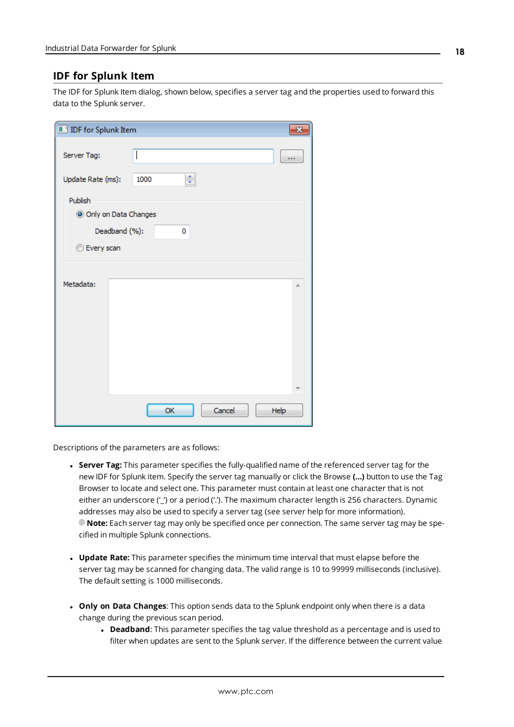### <span id="page-17-0"></span>**IDF for Splunk Item**

The IDF for Splunk Item dialog, shown below, specifies a server tag and the properties used to forward this data to the Splunk server.

| <b>De</b> IDF for Splunk Item |               |      |   |        |      | $\rightarrow$ |
|-------------------------------|---------------|------|---|--------|------|---------------|
| Server Tag:                   |               |      |   |        |      |               |
| Update Rate (ms):             |               | 1000 | ÷ |        |      |               |
| Publish                       |               |      |   |        |      |               |
| O Only on Data Changes        |               |      |   |        |      |               |
|                               | Deadband (%): |      | 0 |        |      |               |
| <b>Every scan</b>             |               |      |   |        |      |               |
|                               |               |      |   |        |      |               |
| Metadata:                     |               |      |   |        |      | A.            |
|                               |               |      |   |        |      |               |
|                               |               |      |   |        |      |               |
|                               |               |      |   |        |      |               |
|                               |               |      |   |        |      |               |
|                               |               |      |   |        |      |               |
|                               |               |      |   |        |      |               |
|                               |               | OK   |   | Cancel | Help |               |
|                               |               |      |   |        |      |               |

Descriptions of the parameters are as follows:

- <span id="page-17-3"></span><sup>l</sup> **Server Tag:** This parameter specifies the fully-qualified name of the referenced server tag for the new IDF for Splunk item. Specify the server tag manually or click the Browse **(…)** button to use the Tag Browser to locate and select one. This parameter must contain at least one character that is not either an underscore ('\_') or a period ('.'). The maximum character length is 256 characters. Dynamic addresses may also be used to specify a server tag (see server help for more information). **Note:** Each server tag may only be specified once per connection. The same server tag may be specified in multiple Splunk connections.
- <span id="page-17-4"></span><sup>l</sup> **Update Rate:** This parameter specifies the minimum time interval that must elapse before the server tag may be scanned for changing data. The valid range is 10 to 99999 milliseconds (inclusive). The default setting is 1000 milliseconds.
- <span id="page-17-2"></span><span id="page-17-1"></span><sup>l</sup> **Only on Data Changes**: This option sends data to the Splunk endpoint only when there is a data change during the previous scan period.
	- **.** Deadband: This parameter specifies the tag value threshold as a percentage and is used to filter when updates are sent to the Splunk server. If the difference between the current value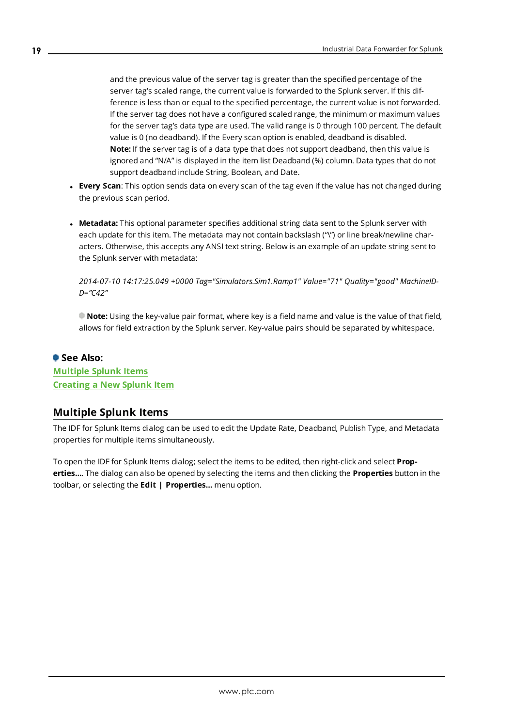and the previous value of the server tag is greater than the specified percentage of the server tag's scaled range, the current value is forwarded to the Splunk server. If this difference is less than or equal to the specified percentage, the current value is not forwarded. If the server tag does not have a configured scaled range, the minimum or maximum values for the server tag's data type are used. The valid range is 0 through 100 percent. The default value is 0 (no deadband). If the Every scan option is enabled, deadband is disabled. **Note:** If the server tag is of a data type that does not support deadband, then this value is ignored and "N/A" is displayed in the item list Deadband (%) column. Data types that do not support deadband include String, Boolean, and Date.

- <span id="page-18-1"></span><sup>l</sup> **Every Scan**: This option sends data on every scan of the tag even if the value has not changed during the previous scan period.
- <span id="page-18-2"></span>**• Metadata:** This optional parameter specifies additional string data sent to the Splunk server with each update for this item. The metadata may not contain backslash ("\") or line break/newline characters. Otherwise, this accepts any ANSI text string. Below is an example of an update string sent to the Splunk server with metadata:

*2014-07-10 14:17:25.049 +0000 Tag="Simulators.Sim1.Ramp1" Value="71" Quality="good" MachineID-D="C42"*

**Note:** Using the key-value pair format, where key is a field name and value is the value of that field, allows for field extraction by the Splunk server. Key-value pairs should be separated by whitespace.

## **See Also: [Multiple](#page-18-0) Splunk Items [Creating](#page-14-0) a New Splunk Item**

### <span id="page-18-0"></span>**Multiple Splunk Items**

The IDF for Splunk Items dialog can be used to edit the Update Rate, Deadband, Publish Type, and Metadata properties for multiple items simultaneously.

To open the IDF for Splunk Items dialog; select the items to be edited, then right-click and select **Properties…**. The dialog can also be opened by selecting the items and then clicking the **Properties** button in the toolbar, or selecting the **Edit | Properties…** menu option.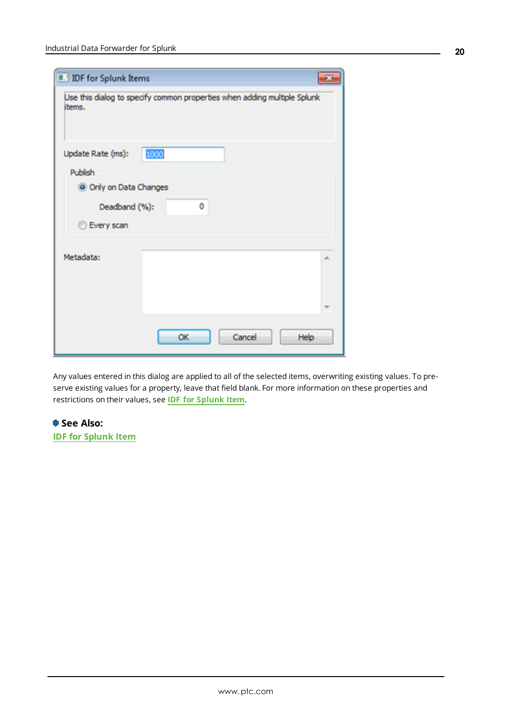| <b>IDF</b> for Splunk Items |                                                                          |    |  |  |  |
|-----------------------------|--------------------------------------------------------------------------|----|--|--|--|
| items.                      | Use this dialog to specify common properties when adding multiple Splunk |    |  |  |  |
| Update Rate (ms):           | 1000                                                                     |    |  |  |  |
| Publish                     |                                                                          |    |  |  |  |
| O Only on Data Changes      |                                                                          |    |  |  |  |
| 0<br>Deadband (%):          |                                                                          |    |  |  |  |
| Every scan                  |                                                                          |    |  |  |  |
| Metadata:                   |                                                                          | s. |  |  |  |
|                             |                                                                          |    |  |  |  |
|                             | Cancel<br>OK<br>Help                                                     |    |  |  |  |

Any values entered in this dialog are applied to all of the selected items, overwriting existing values. To preserve existing values for a property, leave that field blank. For more information on these properties and restrictions on their values, see **IDF for [Splunk](#page-17-0) Item**.

**See Also: IDF for [Splunk](#page-17-0) Item**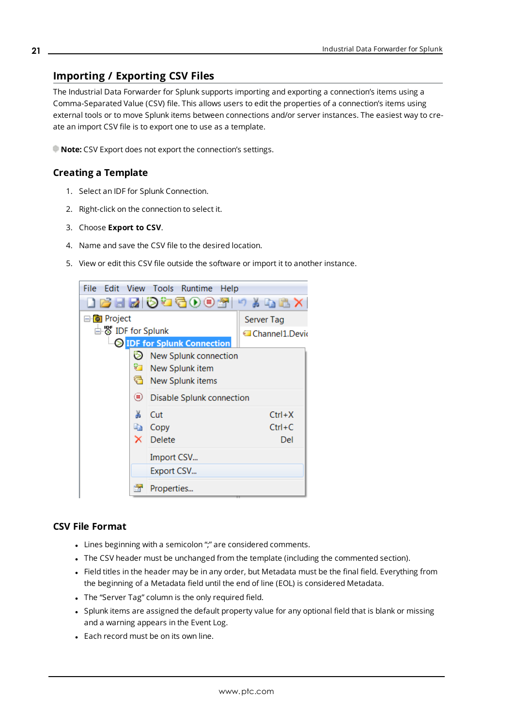## <span id="page-20-1"></span><span id="page-20-0"></span>**Importing / Exporting CSV Files**

The Industrial Data Forwarder for Splunk supports importing and exporting a connection's items using a Comma-Separated Value (CSV) file. This allows users to edit the properties of a connection's items using external tools or to move Splunk items between connections and/or server instances. The easiest way to create an import CSV file is to export one to use as a template.

<span id="page-20-3"></span>**Note:** CSV Export does not export the connection's settings.

#### **Creating a Template**

- 1. Select an IDF for Splunk Connection.
- 2. Right-click on the connection to select it.
- 3. Choose **Export to CSV**.
- 4. Name and save the CSV file to the desired location.
- 5. View or edit this CSV file outside the software or import it to another instance.



#### <span id="page-20-2"></span>**CSV File Format**

- Lines beginning with a semicolon ";" are considered comments.
- The CSV header must be unchanged from the template (including the commented section).
- Field titles in the header may be in any order, but Metadata must be the final field. Everything from the beginning of a Metadata field until the end of line (EOL) is considered Metadata.
- The "Server Tag" column is the only required field.
- Splunk items are assigned the default property value for any optional field that is blank or missing and a warning appears in the Event Log.
- Each record must be on its own line.

**21**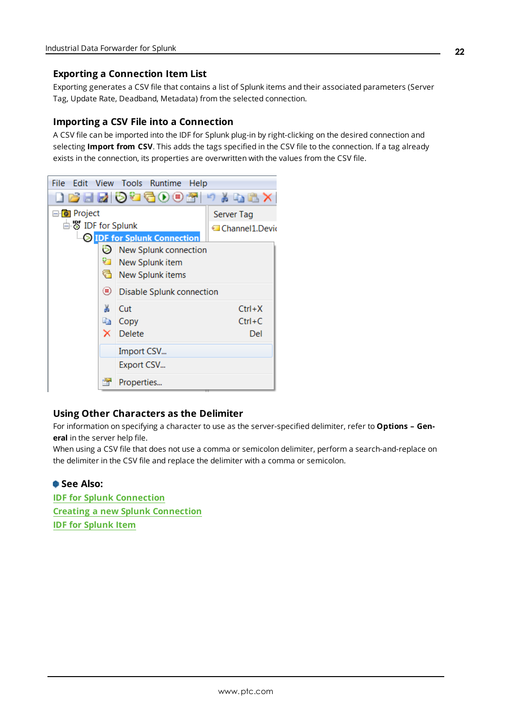#### <span id="page-21-1"></span>**Exporting a Connection Item List**

Exporting generates a CSV file that contains a list of Splunk items and their associated parameters (Server Tag, Update Rate, Deadband, Metadata) from the selected connection.

#### <span id="page-21-2"></span>**Importing a CSV File into a Connection**

A CSV file can be imported into the IDF for Splunk plug-in by right-clicking on the desired connection and selecting **Import from CSV**. This adds the tags specified in the CSV file to the connection. If a tag already exists in the connection, its properties are overwritten with the values from the CSV file.



#### <span id="page-21-0"></span>**Using Other Characters as the Delimiter**

For information on specifying a character to use as the server-specified delimiter, refer to **Options – General** in the server help file.

When using a CSV file that does not use a comma or semicolon delimiter, perform a search-and-replace on the delimiter in the CSV file and replace the delimiter with a comma or semicolon.

## **See Also:**

**IDF for Splunk [Connection](#page-13-0) Creating a new Splunk [Connection](#page-12-0) IDF for [Splunk](#page-17-0) Item**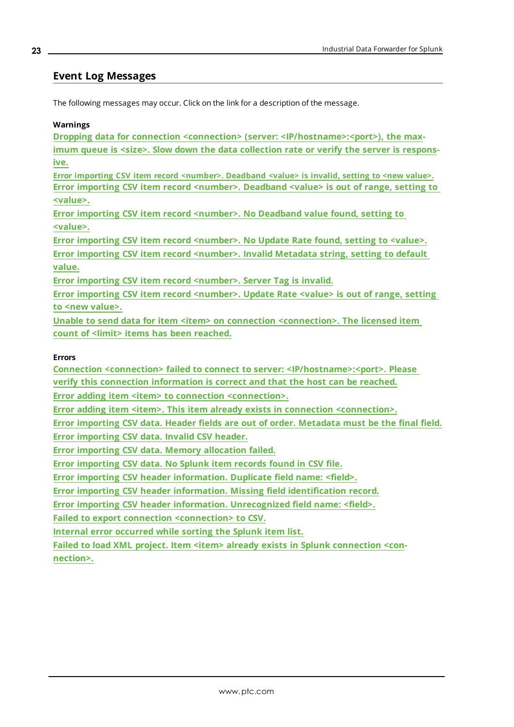#### <span id="page-22-0"></span>**Event Log Messages**

<span id="page-22-2"></span>The following messages may occur. Click on the link for a description of the message.

#### **Warnings**

**Dropping data for connection <connection> (server: [<IP/hostname>:<port>\),](#page-23-1) the maximum queue is <size>. Slow down the data [collection](#page-23-1) rate or verify the server is respons[ive.](#page-23-1)**

**Error importing CSV item record [<number>.](#page-24-1) Deadband <value> is invalid, setting to <new value>. Error importing CSV item record [<number>.](#page-25-0) Deadband <value> is out of range, setting to [<value>.](#page-25-0)**

**Error** importing CSV item record [<number>.](#page-24-2) No Deadband value found, setting to **[<value>.](#page-24-2)**

**Error importing CSV item record [<number>.](#page-28-1) No Update Rate found, setting to <value>. Error importing CSV item record [<number>.](#page-26-2) Invalid Metadata string, setting to default [value.](#page-26-2)**

**Error importing CSV item record [<number>.](#page-27-2) Server Tag is invalid.**

**Error importing CSV item record [<number>.](#page-28-2) Update Rate <value> is out of range, setting** to <new [value>.](#page-28-2)

**Unable to send data for item <item> on connection [<connection>.](#page-30-1) The licensed item count of <limit> items has been [reached.](#page-30-1)**

#### <span id="page-22-1"></span>**Errors**

**Connection <connection> failed to connect to server: [<IP/hostname>:<port>.](#page-23-0) Please**

**verify this connection [information](#page-23-0) is correct and that the host can be reached.**

**Error adding item <item> to connection [<connection>.](#page-23-2)**

**Error adding item <item>. This item already exists in connection [<connection>.](#page-24-0)**

**Error [importing](#page-26-0) CSV data. Header fields are out of order. Metadata must be the final field.**

**Error [importing](#page-25-2) CSV data. Invalid CSV header.**

**Error importing CSV data. Memory [allocation](#page-26-1) failed.**

**Error [importing](#page-27-1) CSV data. No Splunk item records found in CSV file.**

**Error importing CSV header [information.](#page-25-1) Duplicate field name: <field>.**

**Error importing CSV header information. Missing field [identification](#page-27-0) record.**

**Error importing CSV header information. [Unrecognized](#page-28-0) field name: <field>.**

**Failed to export connection [<connection>](#page-29-0) to CSV.**

**Internal error [occurred](#page-30-0) while sorting the Splunk item list.**

**Failed to load XML project. Item <item> already exists in Splunk [connection](#page-29-1) <con[nection>.](#page-29-1)**

#### **23**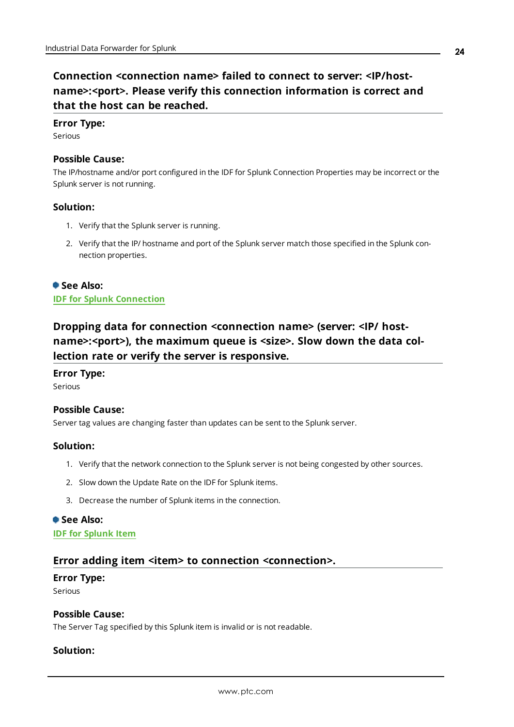## <span id="page-23-0"></span>**Connection <connection name> failed to connect to server: <IP/hostname>:<port>. Please verify this connection information is correct and that the host can be reached.**

#### **Error Type:**

Serious

### **Possible Cause:**

The IP/hostname and/or port configured in the IDF for Splunk Connection Properties may be incorrect or the Splunk server is not running.

#### **Solution:**

- 1. Verify that the Splunk server is running.
- 2. Verify that the IP/ hostname and port of the Splunk server match those specified in the Splunk connection properties.

## **See Also: IDF for Splunk [Connection](#page-13-0)**

## <span id="page-23-1"></span>**Dropping data for connection <connection name> (server: <IP/ hostname>:<port>), the maximum queue is <size>. Slow down the data collection rate or verify the server is responsive.**

#### **Error Type:**

Serious

#### **Possible Cause:**

Server tag values are changing faster than updates can be sent to the Splunk server.

#### **Solution:**

- 1. Verify that the network connection to the Splunk server is not being congested by other sources.
- 2. Slow down the Update Rate on the IDF for Splunk items.
- 3. Decrease the number of Splunk items in the connection.

#### **See Also:**

#### <span id="page-23-2"></span>**IDF for [Splunk](#page-17-0) Item**

#### **Error adding item <item> to connection <connection>.**

#### **Error Type:**

Serious

#### **Possible Cause:**

The Server Tag specified by this Splunk item is invalid or is not readable.

#### **Solution:**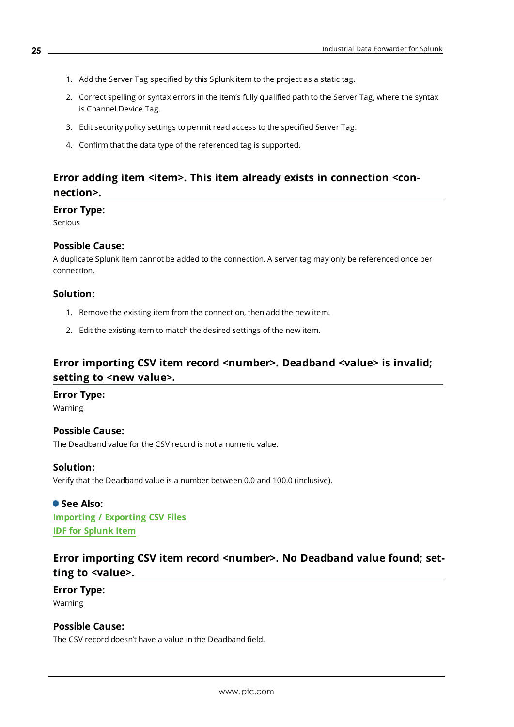- 1. Add the Server Tag specified by this Splunk item to the project as a static tag.
- 2. Correct spelling or syntax errors in the item's fully qualified path to the Server Tag, where the syntax is Channel.Device.Tag.
- 3. Edit security policy settings to permit read access to the specified Server Tag.
- 4. Confirm that the data type of the referenced tag is supported.

## <span id="page-24-0"></span>**Error adding item <item>. This item already exists in connection <connection>.**

#### **Error Type:**

Serious

#### **Possible Cause:**

A duplicate Splunk item cannot be added to the connection. A server tag may only be referenced once per connection.

#### **Solution:**

- 1. Remove the existing item from the connection, then add the new item.
- 2. Edit the existing item to match the desired settings of the new item.

## <span id="page-24-1"></span>**Error importing CSV item record <number>. Deadband <value> is invalid; setting to <new value>.**

#### **Error Type:**

Warning

#### **Possible Cause:**

The Deadband value for the CSV record is not a numeric value.

#### **Solution:**

Verify that the Deadband value is a number between 0.0 and 100.0 (inclusive).

#### **See Also:**

**[Importing](#page-20-0) / Exporting CSV Files IDF for [Splunk](#page-17-0) Item**

## <span id="page-24-2"></span>**Error** importing CSV item record <number>. No Deadband value found; set**ting to <value>.**

#### **Error Type:** Warning

#### **Possible Cause:**

The CSV record doesn't have a value in the Deadband field.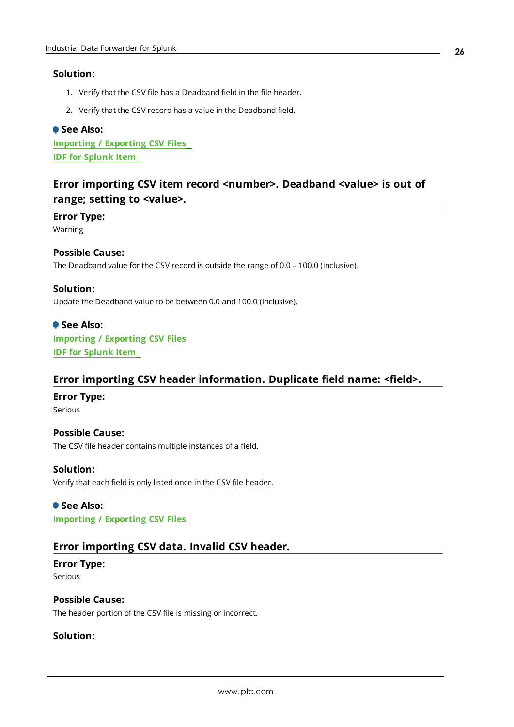#### **Solution:**

- 1. Verify that the CSV file has a Deadband field in the file header.
- 2. Verify that the CSV record has a value in the Deadband field.

#### **See Also:**

**[Importing](#page-20-0) / Exporting CSV Files IDF for [Splunk](#page-17-0) Item**

## <span id="page-25-0"></span>**Error importing CSV item record <number>. Deadband <value> is out of range; setting to <value>.**

#### **Error Type:**

Warning

#### **Possible Cause:**

The Deadband value for the CSV record is outside the range of 0.0 – 100.0 (inclusive).

#### **Solution:**

Update the Deadband value to be between 0.0 and 100.0 (inclusive).

## **See Also:**

**[Importing](#page-20-0) / Exporting CSV Files IDF for [Splunk](#page-17-0) Item**

### <span id="page-25-1"></span>**Error importing CSV header information. Duplicate field name: <field>.**

#### **Error Type:**

Serious

#### **Possible Cause:**

The CSV file header contains multiple instances of a field.

#### **Solution:**

Verify that each field is only listed once in the CSV file header.

#### **See Also:**

<span id="page-25-2"></span>**[Importing](#page-20-0) / Exporting CSV Files**

### **Error importing CSV data. Invalid CSV header.**

#### **Error Type:** Serious

**Possible Cause:** The header portion of the CSV file is missing or incorrect.

#### **Solution:**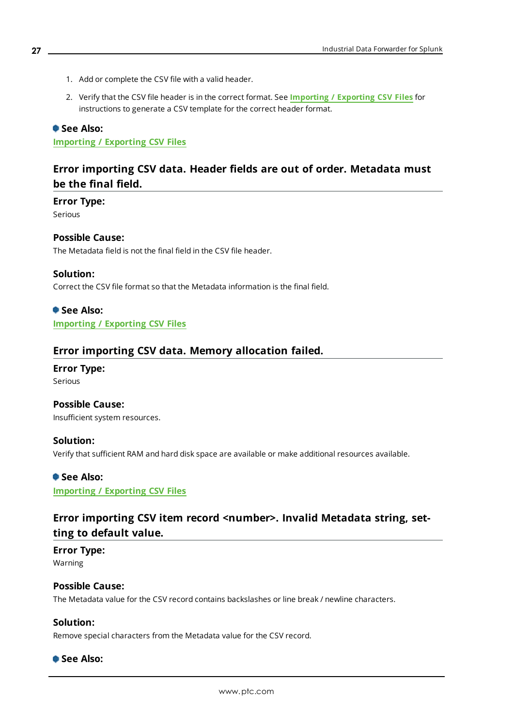- 1. Add or complete the CSV file with a valid header.
- 2. Verify that the CSV file header is in the correct format. See **[Importing](#page-20-0) / Exporting CSV Files** for instructions to generate a CSV template for the correct header format.

#### **See Also:**

<span id="page-26-0"></span>**[Importing](#page-20-0) / Exporting CSV Files**

## **Error importing CSV data. Header fields are out of order. Metadata must be the final field.**

**Error Type:**

Serious

#### **Possible Cause:**

The Metadata field is not the final field in the CSV file header.

#### **Solution:**

Correct the CSV file format so that the Metadata information is the final field.

#### **See Also: [Importing](#page-20-0) / Exporting CSV Files**

#### <span id="page-26-1"></span>**Error importing CSV data. Memory allocation failed.**

## **Error Type:**

Serious

### **Possible Cause:**

Insufficient system resources.

#### **Solution:**

Verify that sufficient RAM and hard disk space are available or make additional resources available.

#### **See Also:**

<span id="page-26-2"></span>**[Importing](#page-20-0) / Exporting CSV Files**

## **Error** importing CSV item record <number>. Invalid Metadata string, set**ting to default value.**

#### **Error Type:** Warning

#### **Possible Cause:**

The Metadata value for the CSV record contains backslashes or line break / newline characters.

#### **Solution:**

Remove special characters from the Metadata value for the CSV record.

#### **See Also:**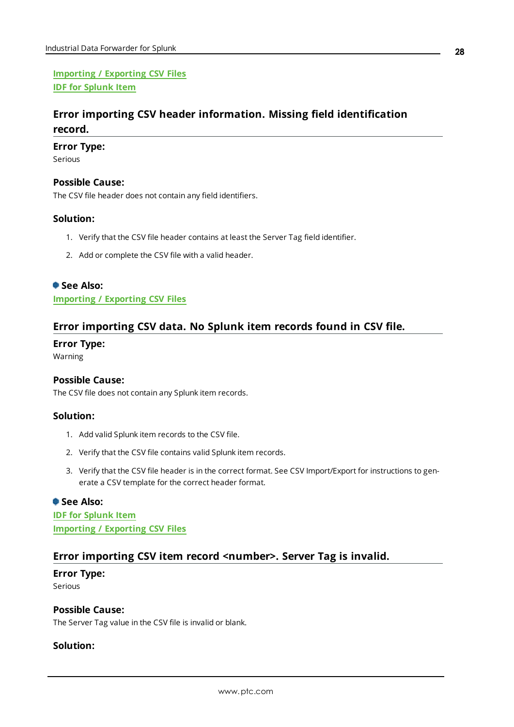**[Importing](#page-20-0) / Exporting CSV Files IDF for [Splunk](#page-17-0) Item**

## <span id="page-27-0"></span>**Error importing CSV header information. Missing field identification record.**

#### **Error Type:**

Serious

#### **Possible Cause:**

The CSV file header does not contain any field identifiers.

#### **Solution:**

- 1. Verify that the CSV file header contains at least the Server Tag field identifier.
- 2. Add or complete the CSV file with a valid header.

#### **See Also:**

<span id="page-27-1"></span>**[Importing](#page-20-0) / Exporting CSV Files**

### **Error importing CSV data. No Splunk item records found in CSV file.**

#### **Error Type:**

Warning

#### **Possible Cause:**

The CSV file does not contain any Splunk item records.

#### **Solution:**

- 1. Add valid Splunk item records to the CSV file.
- 2. Verify that the CSV file contains valid Splunk item records.
- 3. Verify that the CSV file header is in the correct format. See CSV Import/Export for instructions to generate a CSV template for the correct header format.

#### **See Also:**

**IDF for [Splunk](#page-17-0) Item [Importing](#page-20-0) / Exporting CSV Files**

### <span id="page-27-2"></span>**Error importing CSV item record <number>. Server Tag is invalid.**

## **Error Type:**

Serious

### **Possible Cause:**

The Server Tag value in the CSV file is invalid or blank.

#### **Solution:**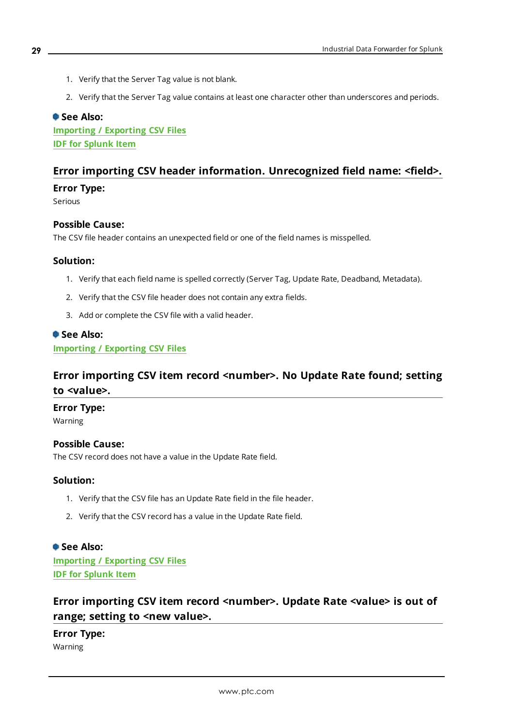- 1. Verify that the Server Tag value is not blank.
- 2. Verify that the Server Tag value contains at least one character other than underscores and periods.

#### **See Also:**

**[Importing](#page-20-0) / Exporting CSV Files IDF for [Splunk](#page-17-0) Item**

## <span id="page-28-0"></span>**Error importing CSV header information. Unrecognized field name: <field>.**

#### **Error Type:**

Serious

#### **Possible Cause:**

The CSV file header contains an unexpected field or one of the field names is misspelled.

#### **Solution:**

- 1. Verify that each field name is spelled correctly (Server Tag, Update Rate, Deadband, Metadata).
- 2. Verify that the CSV file header does not contain any extra fields.
- 3. Add or complete the CSV file with a valid header.

#### **See Also:**

<span id="page-28-1"></span>**[Importing](#page-20-0) / Exporting CSV Files**

## **Error importing CSV item record <number>. No Update Rate found; setting to <value>.**

#### **Error Type:**

Warning

#### **Possible Cause:**

The CSV record does not have a value in the Update Rate field.

#### **Solution:**

- 1. Verify that the CSV file has an Update Rate field in the file header.
- 2. Verify that the CSV record has a value in the Update Rate field.

## **See Also: [Importing](#page-20-0) / Exporting CSV Files**

<span id="page-28-2"></span>**IDF for [Splunk](#page-17-0) Item**

## **Error importing CSV item record <number>. Update Rate <value> is out of range; setting to <new value>.**

**Error Type:** Warning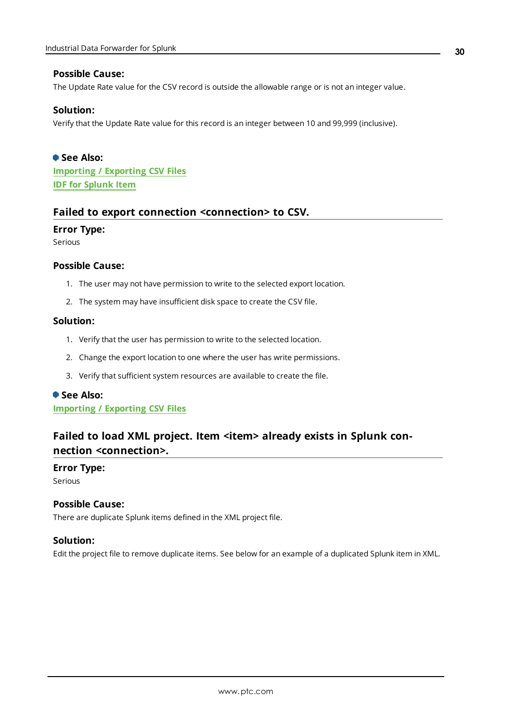#### **Possible Cause:**

The Update Rate value for the CSV record is outside the allowable range or is not an integer value.

#### **Solution:**

Verify that the Update Rate value for this record is an integer between 10 and 99,999 (inclusive).

**See Also: [Importing](#page-20-0) / Exporting CSV Files IDF for [Splunk](#page-17-0) Item**

#### <span id="page-29-0"></span>**Failed to export connection <connection> to CSV.**

#### **Error Type:**

Serious

#### **Possible Cause:**

- 1. The user may not have permission to write to the selected export location.
- 2. The system may have insufficient disk space to create the CSV file.

#### **Solution:**

- 1. Verify that the user has permission to write to the selected location.
- 2. Change the export location to one where the user has write permissions.
- 3. Verify that sufficient system resources are available to create the file.

#### **See Also:**

<span id="page-29-1"></span>**[Importing](#page-20-0) / Exporting CSV Files**

## **Failed to load XML project. Item <item> already exists in Splunk connection <connection>.**

#### **Error Type:**

Serious

#### **Possible Cause:**

There are duplicate Splunk items defined in the XML project file.

#### **Solution:**

Edit the project file to remove duplicate items. See below for an example of a duplicated Splunk item in XML.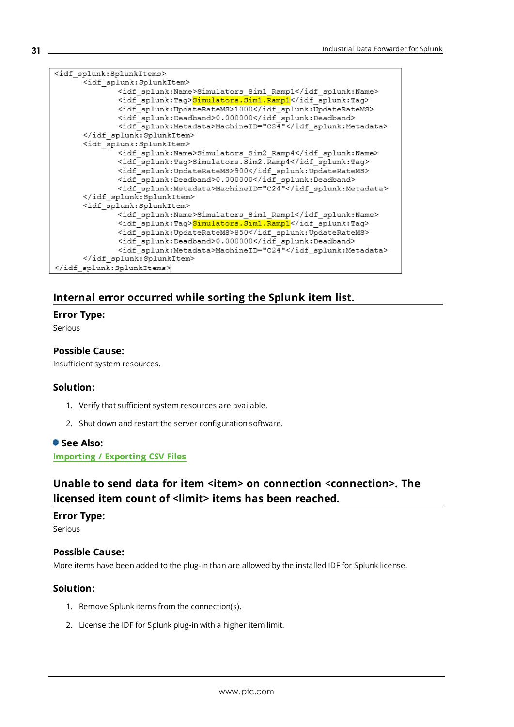| <idf splunk:splunkitems=""></idf>                           |
|-------------------------------------------------------------|
| <idf splunk:splunkitem=""></idf>                            |
| <idf splunk:name="">Simulators Sim1 Ramp1</idf>             |
| <idf splunk:tag=""><mark>Simulators.Sim1.Ramp1</mark></idf> |
| <idf splunk:updateratems="">1000</idf>                      |
| <idf splunk:deadband="">0.000000</idf>                      |
| <idf splunk:metadata="">MachineID="C24"</idf>               |
|                                                             |
| <idf splunk:splunkitem=""></idf>                            |
| <idf splunk:name="">Simulators Sim2 Ramp4</idf>             |
| <idf splunk:tag="">Simulators.Sim2.Ramp4</idf>              |
| <idf splunk:updateratems="">900</idf>                       |
| <idf splunk:deadband="">0.000000</idf>                      |
| <idf splunk:metadata="">MachineID="C24"</idf>               |
|                                                             |
| <idf splunk:splunkitem=""></idf>                            |
| <idf splunk:name="">Simulators Sim1 Ramp1</idf>             |
| <idf splunk:tag=""><mark>Simulators.Sim1.Ramp1</mark></idf> |
| <idf splunk:updateratems="">850</idf>                       |
| <idf splunk:deadband="">0.000000</idf>                      |
| <idf splunk:metadata="">MachineID="C24"</idf>               |
|                                                             |
|                                                             |

## <span id="page-30-0"></span>**Internal error occurred while sorting the Splunk item list.**

#### **Error Type:**

Serious

#### **Possible Cause:**

Insufficient system resources.

#### **Solution:**

- 1. Verify that sufficient system resources are available.
- 2. Shut down and restart the server configuration software.

#### **See Also:**

<span id="page-30-1"></span>**[Importing](#page-20-0) / Exporting CSV Files**

## **Unable to send data for item <item> on connection <connection>. The licensed item count of <limit> items has been reached.**

#### **Error Type:**

Serious

#### **Possible Cause:**

More items have been added to the plug-in than are allowed by the installed IDF for Splunk license.

#### **Solution:**

- 1. Remove Splunk items from the connection(s).
- 2. License the IDF for Splunk plug-in with a higher item limit.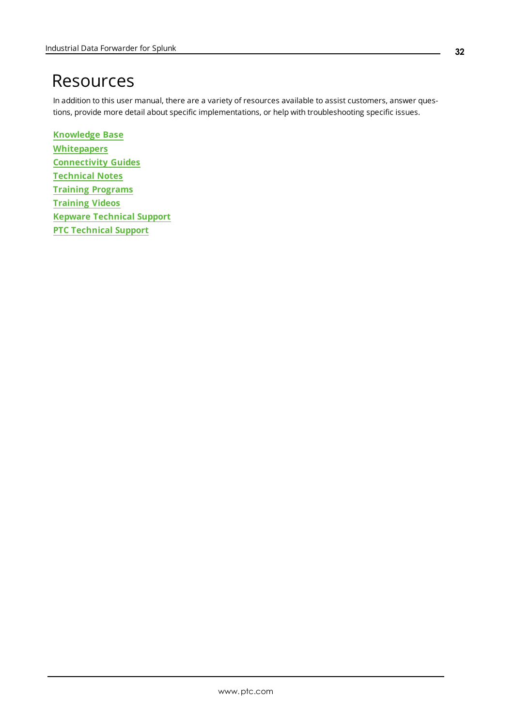# <span id="page-31-0"></span>Resources

In addition to this user manual, there are a variety of resources available to assist customers, answer questions, provide more detail about specific implementations, or help with troubleshooting specific issues.

**[Knowledge](https://www.kepware.com/support/knowledge-base/default.asp) Base [Whitepapers](https://www.kepware.com/en-us/support/whitepapers/) [Connectivity](https://www.kepware.com/en-us/support/resource-library/) Guides [Technical](https://www.kepware.com/en-us/support/resource-library/) Notes Training [Programs](https://www.kepware.com/en-us/products/training/) [Training](https://www.kepware.com/en-us/support/videos/) Videos Kepware [Technical](https://www.kepware.com/en-us/support/technical-support/) Support PTC [Technical](https://support.ptc.com/appserver/common/login/ssl/login.jsp) Support**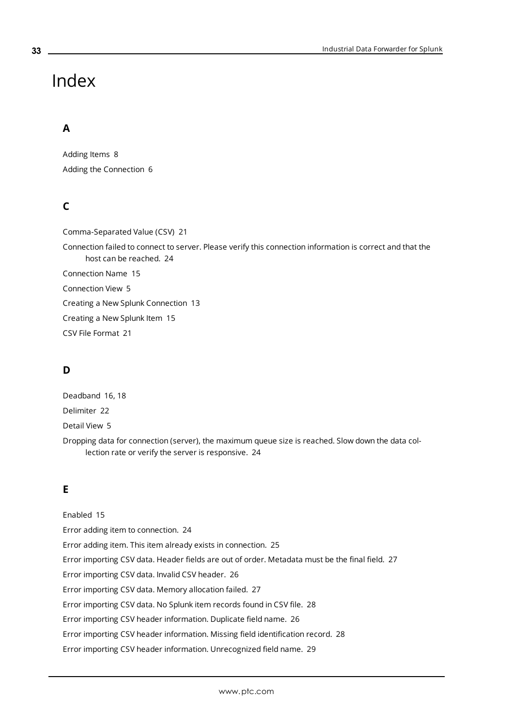# <span id="page-32-0"></span>Index

## **A**

Adding Items [8](#page-7-0) Adding the Connection [6](#page-5-1)

## **C**

Comma-Separated Value (CSV) [21](#page-20-1) Connection failed to connect to server. Please verify this connection information is correct and that the host can be reached. [24](#page-23-0) Connection Name [15](#page-14-1) Connection View [5](#page-4-1) Creating a New Splunk Connection [13](#page-12-0) Creating a New Splunk Item [15](#page-14-0) CSV File Format [21](#page-20-2)

## **D**

Deadband [16](#page-15-0), [18](#page-17-1) Delimiter [22](#page-21-0) Detail View [5](#page-4-2) Dropping data for connection (server), the maximum queue size is reached. Slow down the data collection rate or verify the server is responsive. [24](#page-23-1)

## **E**

Enabled [15](#page-14-2) Error adding item to connection. [24](#page-23-2) Error adding item. This item already exists in connection. [25](#page-24-0) Error importing CSV data. Header fields are out of order. Metadata must be the final field. [27](#page-26-0) Error importing CSV data. Invalid CSV header. [26](#page-25-2) Error importing CSV data. Memory allocation failed. [27](#page-26-1) Error importing CSV data. No Splunk item records found in CSV file. [28](#page-27-1) Error importing CSV header information. Duplicate field name. [26](#page-25-1) Error importing CSV header information. Missing field identification record. [28](#page-27-0) Error importing CSV header information. Unrecognized field name. [29](#page-28-0)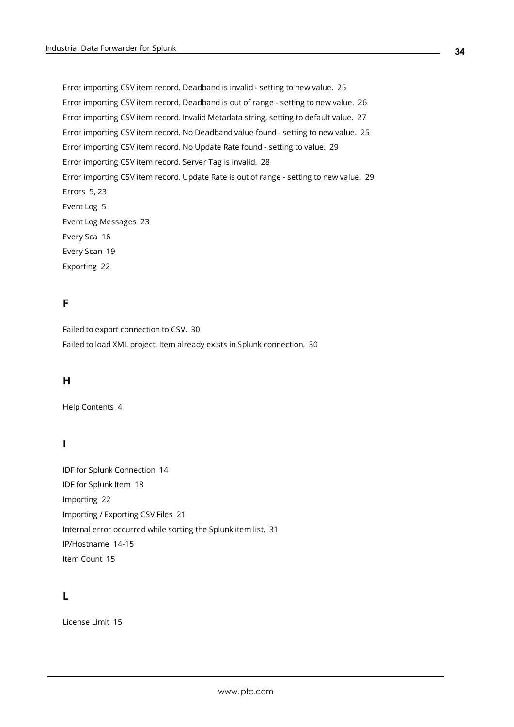Error importing CSV item record. Deadband is invalid - setting to new value. [25](#page-24-1) Error importing CSV item record. Deadband is out of range - setting to new value. [26](#page-25-0) Error importing CSV item record. Invalid Metadata string, setting to default value. [27](#page-26-2) Error importing CSV item record. No Deadband value found - setting to new value. [25](#page-24-2) Error importing CSV item record. No Update Rate found - setting to value. [29](#page-28-1) Error importing CSV item record. Server Tag is invalid. [28](#page-27-2) Error importing CSV item record. Update Rate is out of range - setting to new value. [29](#page-28-2) Errors [5,](#page-4-3) [23](#page-22-1) Event Log [5](#page-4-4) Event Log Messages [23](#page-22-0) Every Sca [16](#page-15-0) Every Scan [19](#page-18-1) Exporting [22](#page-21-1)

## **F**

Failed to export connection to CSV. [30](#page-29-0) Failed to load XML project. Item already exists in Splunk connection. [30](#page-29-1)

#### **H**

Help Contents [4](#page-3-0)

### **I**

IDF for Splunk Connection [14](#page-13-0) IDF for Splunk Item [18](#page-17-0) Importing [22](#page-21-2) Importing / Exporting CSV Files [21](#page-20-0) Internal error occurred while sorting the Splunk item list. [31](#page-30-0) IP/Hostname [14-15](#page-13-1) Item Count [15](#page-14-3)

### **L**

License Limit [15](#page-14-4)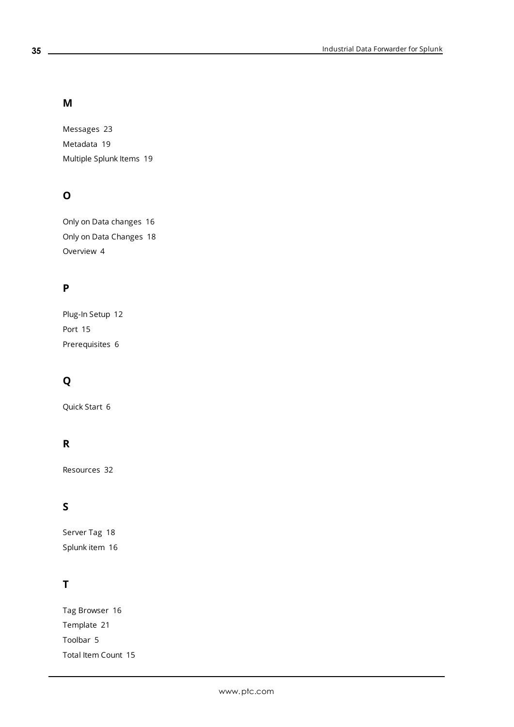## **M**

Messages [23](#page-22-0) Metadata [19](#page-18-2) Multiple Splunk Items [19](#page-18-0)

## **O**

Only on Data changes [16](#page-15-0) Only on Data Changes [18](#page-17-2) Overview [4](#page-3-1)

## **P**

Plug-In Setup [12](#page-11-0) Port [15](#page-14-5) Prerequisites [6](#page-5-2)

## **Q**

Quick Start [6](#page-5-0)

## **R**

Resources [32](#page-31-0)

## **S**

Server Tag [18](#page-17-3) Splunk item [16](#page-15-1)

## **T**

Tag Browser [16](#page-15-2) Template [21](#page-20-3) Toolbar [5](#page-4-5) Total Item Count [15](#page-14-6)